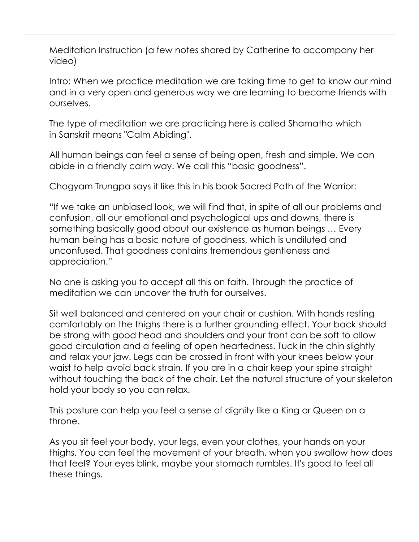Meditation Instruction (a few notes shared by Catherine to accompany her video)

Intro: When we practice meditation we are taking time to get to know our mind and in a very open and generous way we are learning to become friends with ourselves.

The type of meditation we are practicing here is called Shamatha which in Sanskrit means "Calm Abiding".

All human beings can feel a sense of being open, fresh and simple. We can abide in a friendly calm way. We call this "basic goodness".

Chogyam Trungpa says it like this in his book Sacred Path of the Warrior:

"If we take an unbiased look, we will find that, in spite of all our problems and confusion, all our emotional and psychological ups and downs, there is something basically good about our existence as human beings … Every human being has a basic nature of goodness, which is undiluted and unconfused. That goodness contains tremendous gentleness and appreciation."

No one is asking you to accept all this on faith. Through the practice of meditation we can uncover the truth for ourselves.

Sit well balanced and centered on your chair or cushion. With hands resting comfortably on the thighs there is a further grounding effect. Your back should be strong with good head and shoulders and your front can be soft to allow good circulation and a feeling of open heartedness. Tuck in the chin slightly and relax your jaw. Legs can be crossed in front with your knees below your waist to help avoid back strain. If you are in a chair keep your spine straight without touching the back of the chair. Let the natural structure of your skeleton hold your body so you can relax.

This posture can help you feel a sense of dignity like a King or Queen on a throne.

As you sit feel your body, your legs, even your clothes, your hands on your thighs. You can feel the movement of your breath, when you swallow how does that feel? Your eyes blink, maybe your stomach rumbles. It's good to feel all these things.